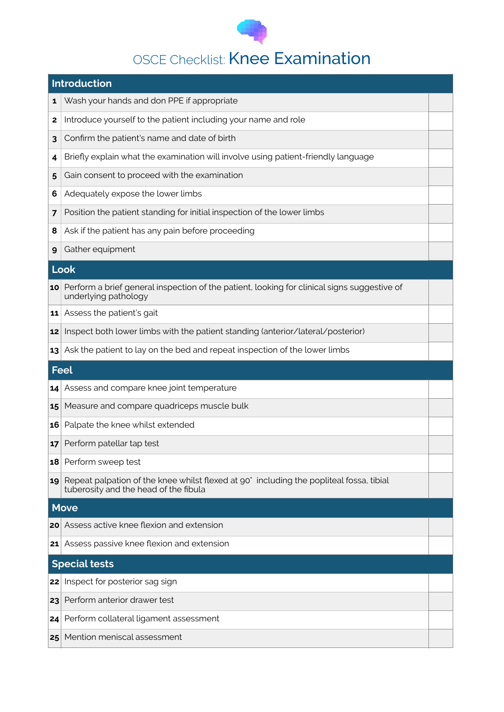

## OSCE Checklist: Knee Examination

| <b>Introduction</b>  |                                                                                                                                  |  |  |
|----------------------|----------------------------------------------------------------------------------------------------------------------------------|--|--|
| 1                    | Wash your hands and don PPE if appropriate                                                                                       |  |  |
| $\mathbf{2}$         | Introduce yourself to the patient including your name and role                                                                   |  |  |
| 3                    | Confirm the patient's name and date of birth                                                                                     |  |  |
| 4                    | Briefly explain what the examination will involve using patient-friendly language                                                |  |  |
| 5                    | Gain consent to proceed with the examination                                                                                     |  |  |
| 6                    | Adequately expose the lower limbs                                                                                                |  |  |
| 7                    | Position the patient standing for initial inspection of the lower limbs                                                          |  |  |
| 8                    | Ask if the patient has any pain before proceeding                                                                                |  |  |
| 9                    | Gather equipment                                                                                                                 |  |  |
| <b>Look</b>          |                                                                                                                                  |  |  |
|                      | 10 Perform a brief general inspection of the patient, looking for clinical signs suggestive of<br>underlying pathology           |  |  |
| 11                   | Assess the patient's gait                                                                                                        |  |  |
| 12                   | Inspect both lower limbs with the patient standing (anterior/lateral/posterior)                                                  |  |  |
| 13                   | Ask the patient to lay on the bed and repeat inspection of the lower limbs                                                       |  |  |
| <b>Feel</b>          |                                                                                                                                  |  |  |
| 14                   | Assess and compare knee joint temperature                                                                                        |  |  |
| 15                   | Measure and compare quadriceps muscle bulk                                                                                       |  |  |
| 16                   | Palpate the knee whilst extended                                                                                                 |  |  |
| 17                   | Perform patellar tap test                                                                                                        |  |  |
| 18                   | Perform sweep test                                                                                                               |  |  |
| 19                   | Repeat palpation of the knee whilst flexed at 90° including the popliteal fossa, tibial<br>tuberosity and the head of the fibula |  |  |
| <b>Move</b>          |                                                                                                                                  |  |  |
| 20                   | Assess active knee flexion and extension                                                                                         |  |  |
| 21                   | Assess passive knee flexion and extension                                                                                        |  |  |
| <b>Special tests</b> |                                                                                                                                  |  |  |
| 22                   | Inspect for posterior sag sign                                                                                                   |  |  |
| 23                   | Perform anterior drawer test                                                                                                     |  |  |
| 24                   | Perform collateral ligament assessment                                                                                           |  |  |
| 25                   | Mention meniscal assessment                                                                                                      |  |  |